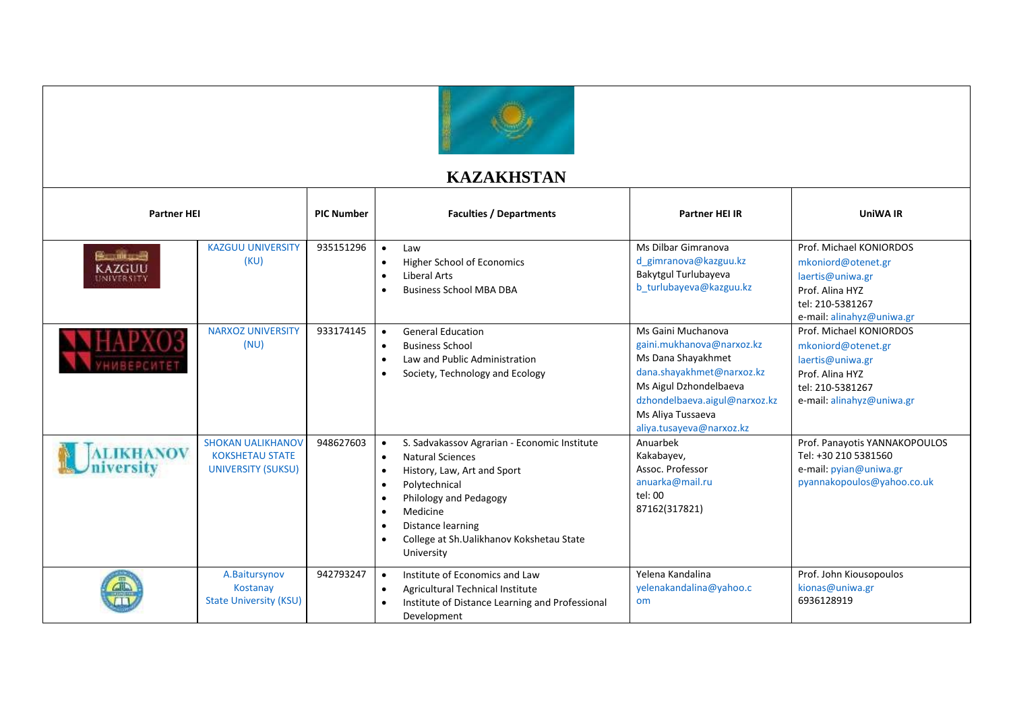

## **KAZAKHSTAN**

| <b>Partner HEI</b>                       |                                                                                 | <b>PIC Number</b> | <b>Faculties / Departments</b>                                                                                                                                                                                                                                                                                                                       | <b>Partner HEI IR</b>                                                                                                                                                                                          | <b>UniWA IR</b>                                                                                                                       |
|------------------------------------------|---------------------------------------------------------------------------------|-------------------|------------------------------------------------------------------------------------------------------------------------------------------------------------------------------------------------------------------------------------------------------------------------------------------------------------------------------------------------------|----------------------------------------------------------------------------------------------------------------------------------------------------------------------------------------------------------------|---------------------------------------------------------------------------------------------------------------------------------------|
| <b>BandingsB</b><br>KAZGUU<br>UNIVERSITY | <b>KAZGUU UNIVERSITY</b><br>(KU)                                                | 935151296         | $\bullet$<br>Law<br>Higher School of Economics<br>$\bullet$<br>Liberal Arts<br>$\bullet$<br><b>Business School MBA DBA</b>                                                                                                                                                                                                                           | Ms Dilbar Gimranova<br>d gimranova@kazguu.kz<br>Bakytgul Turlubayeva<br>b turlubayeva@kazguu.kz                                                                                                                | Prof. Michael KONIORDOS<br>mkoniord@otenet.gr<br>laertis@uniwa.gr<br>Prof. Alina HYZ<br>tel: 210-5381267<br>e-mail: alinahyz@uniwa.gr |
|                                          | <b>NARXOZ UNIVERSITY</b><br>(NU)                                                | 933174145         | <b>General Education</b><br>$\bullet$<br><b>Business School</b><br>$\bullet$<br>Law and Public Administration<br>$\bullet$<br>Society, Technology and Ecology<br>$\bullet$                                                                                                                                                                           | Ms Gaini Muchanova<br>gaini.mukhanova@narxoz.kz<br>Ms Dana Shayakhmet<br>dana.shayakhmet@narxoz.kz<br>Ms Aigul Dzhondelbaeva<br>dzhondelbaeva.aigul@narxoz.kz<br>Ms Aliya Tussaeva<br>aliya.tusayeva@narxoz.kz | Prof. Michael KONIORDOS<br>mkoniord@otenet.gr<br>laertis@uniwa.gr<br>Prof. Alina HYZ<br>tel: 210-5381267<br>e-mail: alinahyz@uniwa.gr |
| <b>ALIKHANOV</b>                         | <b>SHOKAN UALIKHANOV</b><br><b>KOKSHETAU STATE</b><br><b>UNIVERSITY (SUKSU)</b> | 948627603         | S. Sadvakassov Agrarian - Economic Institute<br>$\bullet$<br><b>Natural Sciences</b><br>$\bullet$<br>History, Law, Art and Sport<br>$\bullet$<br>Polytechnical<br>$\bullet$<br>Philology and Pedagogy<br>$\bullet$<br>Medicine<br>$\bullet$<br>Distance learning<br>$\bullet$<br>College at Sh.Ualikhanov Kokshetau State<br>$\bullet$<br>University | Anuarbek<br>Kakabayev,<br>Assoc. Professor<br>anuarka@mail.ru<br>tel: 00<br>87162(317821)                                                                                                                      | Prof. Panayotis YANNAKOPOULOS<br>Tel: +30 210 5381560<br>e-mail: pyian@uniwa.gr<br>pyannakopoulos@yahoo.co.uk                         |
|                                          | A.Baitursynov<br>Kostanay<br><b>State University (KSU)</b>                      | 942793247         | Institute of Economics and Law<br>$\bullet$<br>Agricultural Technical Institute<br>$\bullet$<br>Institute of Distance Learning and Professional<br>Development                                                                                                                                                                                       | Yelena Kandalina<br>yelenakandalina@yahoo.c<br>om                                                                                                                                                              | Prof. John Kiousopoulos<br>kionas@uniwa.gr<br>6936128919                                                                              |